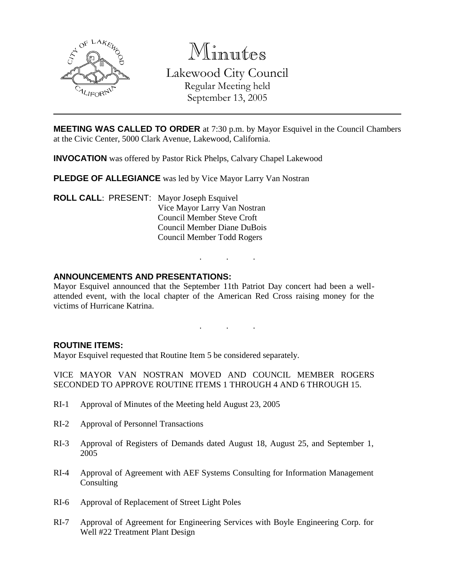

Minutes Lakewood City Council Regular Meeting held September 13, 2005

**MEETING WAS CALLED TO ORDER** at 7:30 p.m. by Mayor Esquivel in the Council Chambers at the Civic Center, 5000 Clark Avenue, Lakewood, California.

**INVOCATION** was offered by Pastor Rick Phelps, Calvary Chapel Lakewood

**PLEDGE OF ALLEGIANCE** was led by Vice Mayor Larry Van Nostran

**ROLL CALL**: PRESENT: Mayor Joseph Esquivel Vice Mayor Larry Van Nostran Council Member Steve Croft Council Member Diane DuBois Council Member Todd Rogers

#### **ANNOUNCEMENTS AND PRESENTATIONS:**

Mayor Esquivel announced that the September 11th Patriot Day concert had been a wellattended event, with the local chapter of the American Red Cross raising money for the victims of Hurricane Katrina.

. . .

. . .

#### **ROUTINE ITEMS:**

Mayor Esquivel requested that Routine Item 5 be considered separately.

VICE MAYOR VAN NOSTRAN MOVED AND COUNCIL MEMBER ROGERS SECONDED TO APPROVE ROUTINE ITEMS 1 THROUGH 4 AND 6 THROUGH 15.

- RI-1 Approval of Minutes of the Meeting held August 23, 2005
- RI-2 Approval of Personnel Transactions
- RI-3 Approval of Registers of Demands dated August 18, August 25, and September 1, 2005
- RI-4 Approval of Agreement with AEF Systems Consulting for Information Management **Consulting**
- RI-6 Approval of Replacement of Street Light Poles
- RI-7 Approval of Agreement for Engineering Services with Boyle Engineering Corp. for Well #22 Treatment Plant Design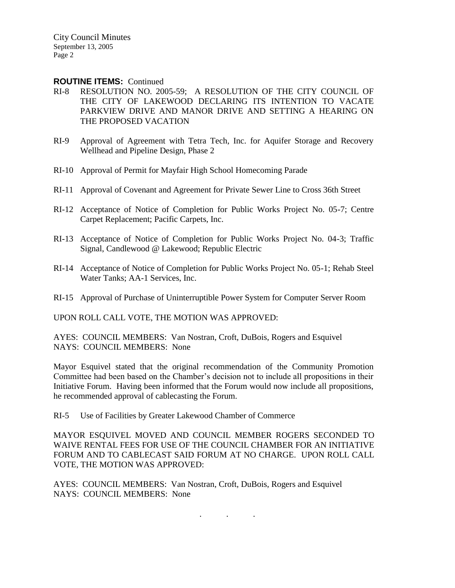City Council Minutes September 13, 2005 Page 2

#### **ROUTINE ITEMS:** Continued

- RI-8 RESOLUTION NO. 2005-59; A RESOLUTION OF THE CITY COUNCIL OF THE CITY OF LAKEWOOD DECLARING ITS INTENTION TO VACATE PARKVIEW DRIVE AND MANOR DRIVE AND SETTING A HEARING ON THE PROPOSED VACATION
- RI-9 Approval of Agreement with Tetra Tech, Inc. for Aquifer Storage and Recovery Wellhead and Pipeline Design, Phase 2
- RI-10 Approval of Permit for Mayfair High School Homecoming Parade
- RI-11 Approval of Covenant and Agreement for Private Sewer Line to Cross 36th Street
- RI-12 Acceptance of Notice of Completion for Public Works Project No. 05-7; Centre Carpet Replacement; Pacific Carpets, Inc.
- RI-13 Acceptance of Notice of Completion for Public Works Project No. 04-3; Traffic Signal, Candlewood @ Lakewood; Republic Electric
- RI-14 Acceptance of Notice of Completion for Public Works Project No. 05-1; Rehab Steel Water Tanks; AA-1 Services, Inc.
- RI-15 Approval of Purchase of Uninterruptible Power System for Computer Server Room

UPON ROLL CALL VOTE, THE MOTION WAS APPROVED:

AYES: COUNCIL MEMBERS: Van Nostran, Croft, DuBois, Rogers and Esquivel NAYS: COUNCIL MEMBERS: None

Mayor Esquivel stated that the original recommendation of the Community Promotion Committee had been based on the Chamber's decision not to include all propositions in their Initiative Forum. Having been informed that the Forum would now include all propositions, he recommended approval of cablecasting the Forum.

RI-5 Use of Facilities by Greater Lakewood Chamber of Commerce

MAYOR ESQUIVEL MOVED AND COUNCIL MEMBER ROGERS SECONDED TO WAIVE RENTAL FEES FOR USE OF THE COUNCIL CHAMBER FOR AN INITIATIVE FORUM AND TO CABLECAST SAID FORUM AT NO CHARGE. UPON ROLL CALL VOTE, THE MOTION WAS APPROVED:

. . .

AYES: COUNCIL MEMBERS: Van Nostran, Croft, DuBois, Rogers and Esquivel NAYS: COUNCIL MEMBERS: None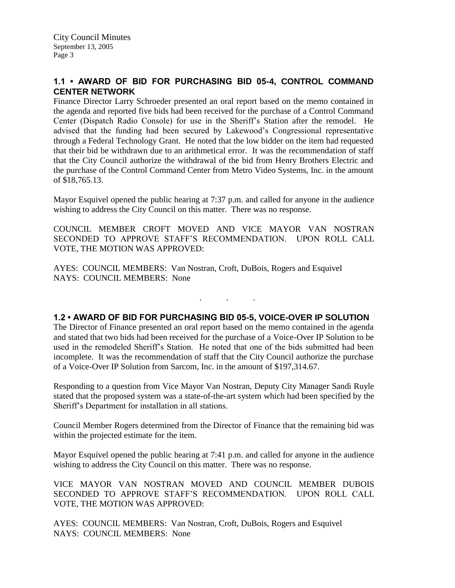## **1.1 • AWARD OF BID FOR PURCHASING BID 05-4, CONTROL COMMAND CENTER NETWORK**

Finance Director Larry Schroeder presented an oral report based on the memo contained in the agenda and reported five bids had been received for the purchase of a Control Command Center (Dispatch Radio Console) for use in the Sheriff's Station after the remodel. He advised that the funding had been secured by Lakewood's Congressional representative through a Federal Technology Grant. He noted that the low bidder on the item had requested that their bid be withdrawn due to an arithmetical error. It was the recommendation of staff that the City Council authorize the withdrawal of the bid from Henry Brothers Electric and the purchase of the Control Command Center from Metro Video Systems, Inc. in the amount of \$18,765.13.

Mayor Esquivel opened the public hearing at 7:37 p.m. and called for anyone in the audience wishing to address the City Council on this matter. There was no response.

COUNCIL MEMBER CROFT MOVED AND VICE MAYOR VAN NOSTRAN SECONDED TO APPROVE STAFF'S RECOMMENDATION. UPON ROLL CALL VOTE, THE MOTION WAS APPROVED:

AYES: COUNCIL MEMBERS: Van Nostran, Croft, DuBois, Rogers and Esquivel NAYS: COUNCIL MEMBERS: None

# **1.2 • AWARD OF BID FOR PURCHASING BID 05-5, VOICE-OVER IP SOLUTION**

. . .

The Director of Finance presented an oral report based on the memo contained in the agenda and stated that two bids had been received for the purchase of a Voice-Over IP Solution to be used in the remodeled Sheriff's Station. He noted that one of the bids submitted had been incomplete. It was the recommendation of staff that the City Council authorize the purchase of a Voice-Over IP Solution from Sarcom, Inc. in the amount of \$197,314.67.

Responding to a question from Vice Mayor Van Nostran, Deputy City Manager Sandi Ruyle stated that the proposed system was a state-of-the-art system which had been specified by the Sheriff's Department for installation in all stations.

Council Member Rogers determined from the Director of Finance that the remaining bid was within the projected estimate for the item.

Mayor Esquivel opened the public hearing at 7:41 p.m. and called for anyone in the audience wishing to address the City Council on this matter. There was no response.

VICE MAYOR VAN NOSTRAN MOVED AND COUNCIL MEMBER DUBOIS SECONDED TO APPROVE STAFF'S RECOMMENDATION. UPON ROLL CALL VOTE, THE MOTION WAS APPROVED:

AYES: COUNCIL MEMBERS: Van Nostran, Croft, DuBois, Rogers and Esquivel NAYS: COUNCIL MEMBERS: None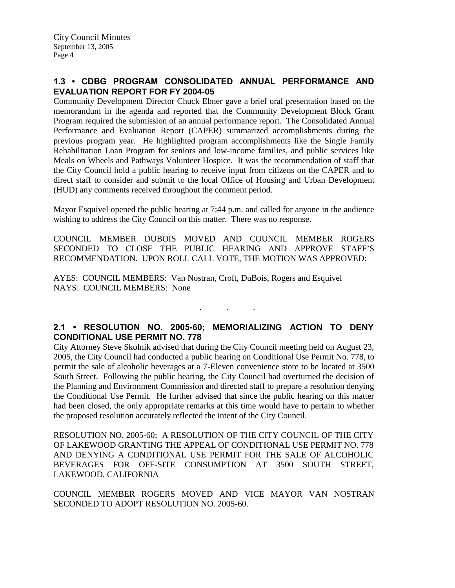## **1.3 • CDBG PROGRAM CONSOLIDATED ANNUAL PERFORMANCE AND EVALUATION REPORT FOR FY 2004-05**

Community Development Director Chuck Ebner gave a brief oral presentation based on the memorandum in the agenda and reported that the Community Development Block Grant Program required the submission of an annual performance report. The Consolidated Annual Performance and Evaluation Report (CAPER) summarized accomplishments during the previous program year. He highlighted program accomplishments like the Single Family Rehabilitation Loan Program for seniors and low-income families, and public services like Meals on Wheels and Pathways Volunteer Hospice. It was the recommendation of staff that the City Council hold a public hearing to receive input from citizens on the CAPER and to direct staff to consider and submit to the local Office of Housing and Urban Development (HUD) any comments received throughout the comment period.

Mayor Esquivel opened the public hearing at 7:44 p.m. and called for anyone in the audience wishing to address the City Council on this matter. There was no response.

COUNCIL MEMBER DUBOIS MOVED AND COUNCIL MEMBER ROGERS SECONDED TO CLOSE THE PUBLIC HEARING AND APPROVE STAFF'S RECOMMENDATION. UPON ROLL CALL VOTE, THE MOTION WAS APPROVED:

AYES: COUNCIL MEMBERS: Van Nostran, Croft, DuBois, Rogers and Esquivel NAYS: COUNCIL MEMBERS: None

## **2.1 • RESOLUTION NO. 2005-60; MEMORIALIZING ACTION TO DENY CONDITIONAL USE PERMIT NO. 778**

. . .

City Attorney Steve Skolnik advised that during the City Council meeting held on August 23, 2005, the City Council had conducted a public hearing on Conditional Use Permit No. 778, to permit the sale of alcoholic beverages at a 7-Eleven convenience store to be located at 3500 South Street. Following the public hearing, the City Council had overturned the decision of the Planning and Environment Commission and directed staff to prepare a resolution denying the Conditional Use Permit. He further advised that since the public hearing on this matter had been closed, the only appropriate remarks at this time would have to pertain to whether the proposed resolution accurately reflected the intent of the City Council.

RESOLUTION NO. 2005-60; A RESOLUTION OF THE CITY COUNCIL OF THE CITY OF LAKEWOOD GRANTING THE APPEAL OF CONDITIONAL USE PERMIT NO. 778 AND DENYING A CONDITIONAL USE PERMIT FOR THE SALE OF ALCOHOLIC BEVERAGES FOR OFF-SITE CONSUMPTION AT 3500 SOUTH STREET, LAKEWOOD, CALIFORNIA

COUNCIL MEMBER ROGERS MOVED AND VICE MAYOR VAN NOSTRAN SECONDED TO ADOPT RESOLUTION NO. 2005-60.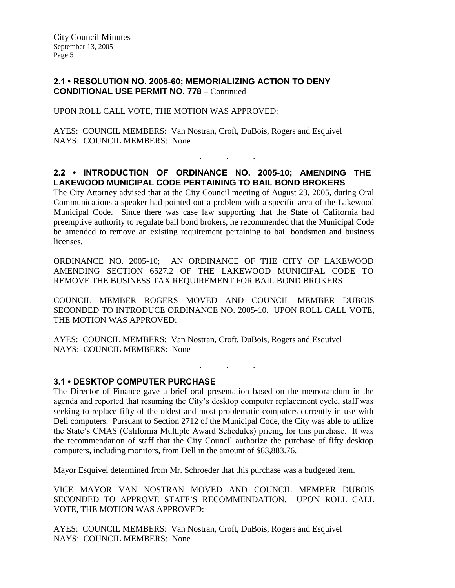### **2.1 • RESOLUTION NO. 2005-60; MEMORIALIZING ACTION TO DENY CONDITIONAL USE PERMIT NO. 778** – Continued

UPON ROLL CALL VOTE, THE MOTION WAS APPROVED:

AYES: COUNCIL MEMBERS: Van Nostran, Croft, DuBois, Rogers and Esquivel NAYS: COUNCIL MEMBERS: None

### **2.2 • INTRODUCTION OF ORDINANCE NO. 2005-10; AMENDING THE LAKEWOOD MUNICIPAL CODE PERTAINING TO BAIL BOND BROKERS**

. . .

The City Attorney advised that at the City Council meeting of August 23, 2005, during Oral Communications a speaker had pointed out a problem with a specific area of the Lakewood Municipal Code. Since there was case law supporting that the State of California had preemptive authority to regulate bail bond brokers, he recommended that the Municipal Code be amended to remove an existing requirement pertaining to bail bondsmen and business licenses.

ORDINANCE NO. 2005-10; AN ORDINANCE OF THE CITY OF LAKEWOOD AMENDING SECTION 6527.2 OF THE LAKEWOOD MUNICIPAL CODE TO REMOVE THE BUSINESS TAX REQUIREMENT FOR BAIL BOND BROKERS

COUNCIL MEMBER ROGERS MOVED AND COUNCIL MEMBER DUBOIS SECONDED TO INTRODUCE ORDINANCE NO. 2005-10. UPON ROLL CALL VOTE, THE MOTION WAS APPROVED:

. . .

AYES: COUNCIL MEMBERS: Van Nostran, Croft, DuBois, Rogers and Esquivel NAYS: COUNCIL MEMBERS: None

#### **3.1 • DESKTOP COMPUTER PURCHASE**

The Director of Finance gave a brief oral presentation based on the memorandum in the agenda and reported that resuming the City's desktop computer replacement cycle, staff was seeking to replace fifty of the oldest and most problematic computers currently in use with Dell computers. Pursuant to Section 2712 of the Municipal Code, the City was able to utilize the State's CMAS (California Multiple Award Schedules) pricing for this purchase. It was the recommendation of staff that the City Council authorize the purchase of fifty desktop computers, including monitors, from Dell in the amount of \$63,883.76.

Mayor Esquivel determined from Mr. Schroeder that this purchase was a budgeted item.

VICE MAYOR VAN NOSTRAN MOVED AND COUNCIL MEMBER DUBOIS SECONDED TO APPROVE STAFF'S RECOMMENDATION. UPON ROLL CALL VOTE, THE MOTION WAS APPROVED:

AYES: COUNCIL MEMBERS: Van Nostran, Croft, DuBois, Rogers and Esquivel NAYS: COUNCIL MEMBERS: None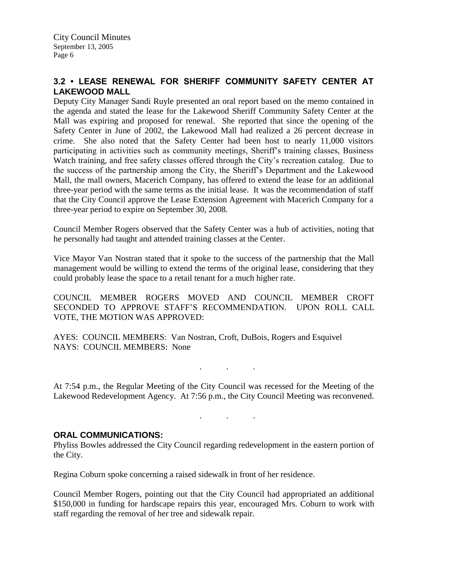# **3.2 • LEASE RENEWAL FOR SHERIFF COMMUNITY SAFETY CENTER AT LAKEWOOD MALL**

Deputy City Manager Sandi Ruyle presented an oral report based on the memo contained in the agenda and stated the lease for the Lakewood Sheriff Community Safety Center at the Mall was expiring and proposed for renewal. She reported that since the opening of the Safety Center in June of 2002, the Lakewood Mall had realized a 26 percent decrease in crime. She also noted that the Safety Center had been host to nearly 11,000 visitors participating in activities such as community meetings, Sheriff's training classes, Business Watch training, and free safety classes offered through the City's recreation catalog. Due to the success of the partnership among the City, the Sheriff's Department and the Lakewood Mall, the mall owners, Macerich Company, has offered to extend the lease for an additional three-year period with the same terms as the initial lease. It was the recommendation of staff that the City Council approve the Lease Extension Agreement with Macerich Company for a three-year period to expire on September 30, 2008.

Council Member Rogers observed that the Safety Center was a hub of activities, noting that he personally had taught and attended training classes at the Center.

Vice Mayor Van Nostran stated that it spoke to the success of the partnership that the Mall management would be willing to extend the terms of the original lease, considering that they could probably lease the space to a retail tenant for a much higher rate.

COUNCIL MEMBER ROGERS MOVED AND COUNCIL MEMBER CROFT SECONDED TO APPROVE STAFF'S RECOMMENDATION. UPON ROLL CALL VOTE, THE MOTION WAS APPROVED:

AYES: COUNCIL MEMBERS: Van Nostran, Croft, DuBois, Rogers and Esquivel NAYS: COUNCIL MEMBERS: None

At 7:54 p.m., the Regular Meeting of the City Council was recessed for the Meeting of the Lakewood Redevelopment Agency. At 7:56 p.m., the City Council Meeting was reconvened.

. . .

. . .

#### **ORAL COMMUNICATIONS:**

Phyliss Bowles addressed the City Council regarding redevelopment in the eastern portion of the City.

Regina Coburn spoke concerning a raised sidewalk in front of her residence.

Council Member Rogers, pointing out that the City Council had appropriated an additional \$150,000 in funding for hardscape repairs this year, encouraged Mrs. Coburn to work with staff regarding the removal of her tree and sidewalk repair.